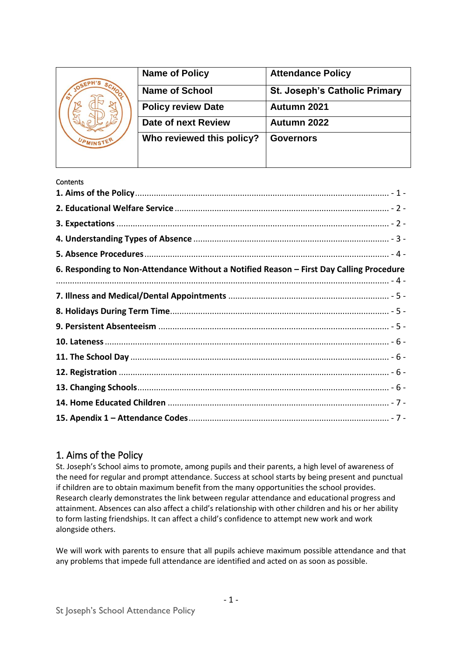| <b>Name of Policy</b>     | <b>Attendance Policy</b>             |
|---------------------------|--------------------------------------|
| <b>Name of School</b>     | <b>St. Joseph's Catholic Primary</b> |
| <b>Policy review Date</b> | Autumn 2021                          |
| Date of next Review       | Autumn 2022                          |
| Who reviewed this policy? | <b>Governors</b>                     |
|                           |                                      |
|                           |                                      |

#### **Contents**

| 6. Responding to Non-Attendance Without a Notified Reason - First Day Calling Procedure |  |
|-----------------------------------------------------------------------------------------|--|
|                                                                                         |  |
|                                                                                         |  |
|                                                                                         |  |
|                                                                                         |  |
|                                                                                         |  |
|                                                                                         |  |
|                                                                                         |  |
|                                                                                         |  |
|                                                                                         |  |
|                                                                                         |  |

#### <span id="page-0-0"></span>1. Aims of the Policy

St. Joseph's School aims to promote, among pupils and their parents, a high level of awareness of the need for regular and prompt attendance. Success at school starts by being present and punctual if children are to obtain maximum benefit from the many opportunities the school provides. Research clearly demonstrates the link between regular attendance and educational progress and attainment. Absences can also affect a child's relationship with other children and his or her ability to form lasting friendships. It can affect a child's confidence to attempt new work and work alongside others.

We will work with parents to ensure that all pupils achieve maximum possible attendance and that any problems that impede full attendance are identified and acted on as soon as possible.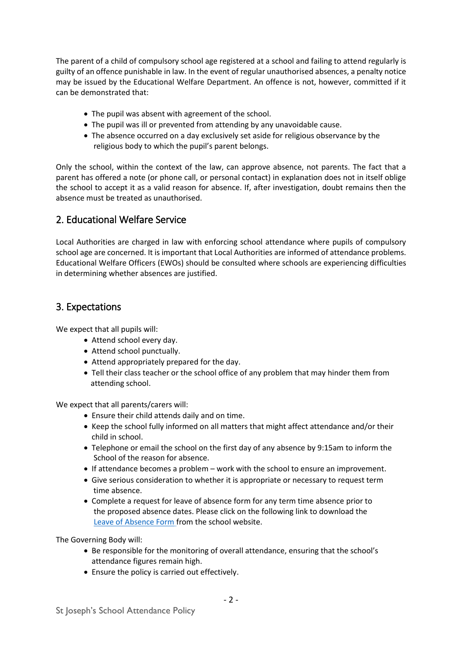The parent of a child of compulsory school age registered at a school and failing to attend regularly is guilty of an offence punishable in law. In the event of regular unauthorised absences, a penalty notice may be issued by the Educational Welfare Department. An offence is not, however, committed if it can be demonstrated that:

- The pupil was absent with agreement of the school.
- The pupil was ill or prevented from attending by any unavoidable cause.
- The absence occurred on a day exclusively set aside for religious observance by the religious body to which the pupil's parent belongs.

Only the school, within the context of the law, can approve absence, not parents. The fact that a parent has offered a note (or phone call, or personal contact) in explanation does not in itself oblige the school to accept it as a valid reason for absence. If, after investigation, doubt remains then the absence must be treated as unauthorised.

## <span id="page-1-0"></span>2. Educational Welfare Service

Local Authorities are charged in law with enforcing school attendance where pupils of compulsory school age are concerned. It is important that Local Authorities are informed of attendance problems. Educational Welfare Officers (EWOs) should be consulted where schools are experiencing difficulties in determining whether absences are justified.

## <span id="page-1-1"></span>3. Expectations

We expect that all pupils will:

- Attend school every day.
- Attend school punctually.
- Attend appropriately prepared for the day.
- Tell their class teacher or the school office of any problem that may hinder them from attending school.

We expect that all parents/carers will:

- Ensure their child attends daily and on time.
- Keep the school fully informed on all matters that might affect attendance and/or their child in school.
- Telephone or email the school on the first day of any absence by 9:15am to inform the School of the reason for absence.
- If attendance becomes a problem work with the school to ensure an improvement.
- Give serious consideration to whether it is appropriate or necessary to request term time absence.
- Complete a request for leave of absence form for any term time absence prior to the proposed absence dates. Please click on the following link to download the [Leave of Absence Form](https://www.st-josephs-upminster.net/content/uploads/2020/10/Request-for-Leave-of-Absence-1.pdf) from the school website.

The Governing Body will:

- Be responsible for the monitoring of overall attendance, ensuring that the school's attendance figures remain high.
- Ensure the policy is carried out effectively.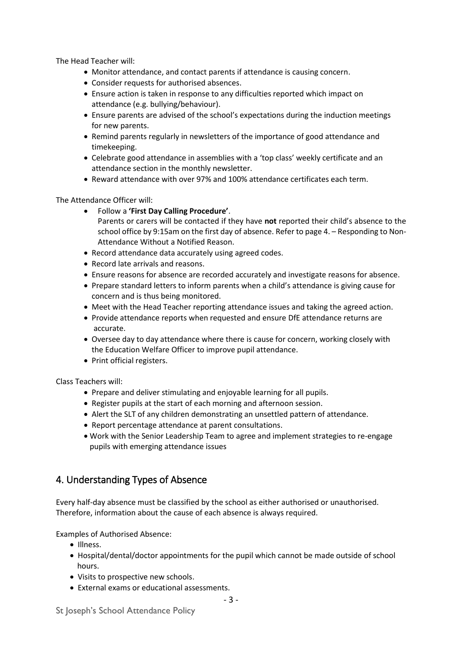The Head Teacher will:

- Monitor attendance, and contact parents if attendance is causing concern.
- Consider requests for authorised absences.
- Ensure action is taken in response to any difficulties reported which impact on attendance (e.g. bullying/behaviour).
- Ensure parents are advised of the school's expectations during the induction meetings for new parents.
- Remind parents regularly in newsletters of the importance of good attendance and timekeeping.
- Celebrate good attendance in assemblies with a 'top class' weekly certificate and an attendance section in the monthly newsletter.
- Reward attendance with over 97% and 100% attendance certificates each term.

The Attendance Officer will:

- Follow a **'First Day Calling Procedure'**.
	- Parents or carers will be contacted if they have **not** reported their child's absence to the school office by 9:15am on the first day of absence. Refer to page 4. – Responding to Non-Attendance Without a Notified Reason.
- Record attendance data accurately using agreed codes.
- Record late arrivals and reasons.
- Ensure reasons for absence are recorded accurately and investigate reasons for absence.
- Prepare standard letters to inform parents when a child's attendance is giving cause for concern and is thus being monitored.
- Meet with the Head Teacher reporting attendance issues and taking the agreed action.
- Provide attendance reports when requested and ensure DfE attendance returns are accurate.
- Oversee day to day attendance where there is cause for concern, working closely with the Education Welfare Officer to improve pupil attendance.
- Print official registers.

Class Teachers will:

- Prepare and deliver stimulating and enjoyable learning for all pupils.
- Register pupils at the start of each morning and afternoon session.
- Alert the SLT of any children demonstrating an unsettled pattern of attendance.
- Report percentage attendance at parent consultations.
- Work with the Senior Leadership Team to agree and implement strategies to re-engage pupils with emerging attendance issues

## <span id="page-2-0"></span>4. Understanding Types of Absence

Every half-day absence must be classified by the school as either authorised or unauthorised. Therefore, information about the cause of each absence is always required.

Examples of Authorised Absence:

- Illness.
- Hospital/dental/doctor appointments for the pupil which cannot be made outside of school hours.
- Visits to prospective new schools.
- External exams or educational assessments.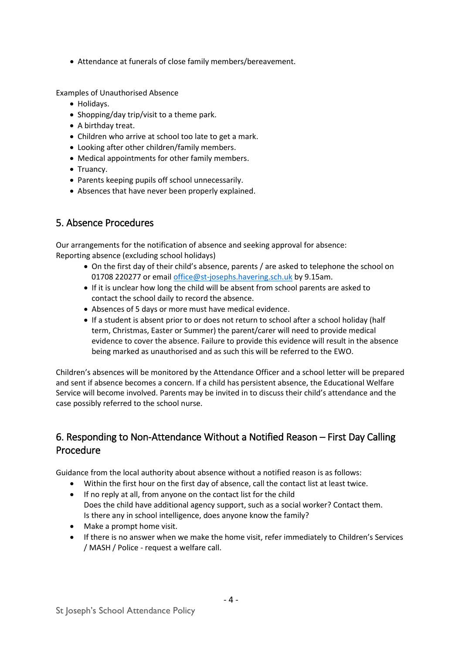• Attendance at funerals of close family members/bereavement.

Examples of Unauthorised Absence

- Holidays.
- Shopping/day trip/visit to a theme park.
- A birthday treat.
- Children who arrive at school too late to get a mark.
- Looking after other children/family members.
- Medical appointments for other family members.
- Truancy.
- Parents keeping pupils off school unnecessarily.
- Absences that have never been properly explained.

## <span id="page-3-0"></span>5. Absence Procedures

Our arrangements for the notification of absence and seeking approval for absence: Reporting absence (excluding school holidays)

- On the first day of their child's absence, parents / are asked to telephone the school on 01708 220277 or emai[l office@st-josephs.havering.sch.uk](mailto:office@st-josephs.havering.sch.uk) by 9.15am.
- If it is unclear how long the child will be absent from school parents are asked to contact the school daily to record the absence.
- Absences of 5 days or more must have medical evidence.
- If a student is absent prior to or does not return to school after a school holiday (half term, Christmas, Easter or Summer) the parent/carer will need to provide medical evidence to cover the absence. Failure to provide this evidence will result in the absence being marked as unauthorised and as such this will be referred to the EWO.

Children's absences will be monitored by the Attendance Officer and a school letter will be prepared and sent if absence becomes a concern. If a child has persistent absence, the Educational Welfare Service will become involved. Parents may be invited in to discuss their child's attendance and the case possibly referred to the school nurse.

## <span id="page-3-1"></span>6. Responding to Non-Attendance Without a Notified Reason – First Day Calling Procedure

Guidance from the local authority about absence without a notified reason is as follows:

- Within the first hour on the first day of absence, call the contact list at least twice.
- If no reply at all, from anyone on the contact list for the child Does the child have additional agency support, such as a social worker? Contact them. Is there any in school intelligence, does anyone know the family?
- Make a prompt home visit.
- If there is no answer when we make the home visit, refer immediately to Children's Services / MASH / Police - request a welfare call.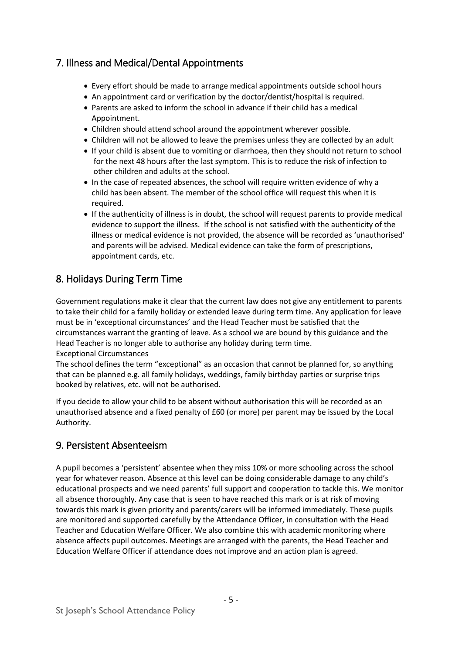## <span id="page-4-0"></span>7. Illness and Medical/Dental Appointments

- Every effort should be made to arrange medical appointments outside school hours
- An appointment card or verification by the doctor/dentist/hospital is required.
- Parents are asked to inform the school in advance if their child has a medical Appointment.
- Children should attend school around the appointment wherever possible.
- Children will not be allowed to leave the premises unless they are collected by an adult
- If your child is absent due to vomiting or diarrhoea, then they should not return to school for the next 48 hours after the last symptom. This is to reduce the risk of infection to other children and adults at the school.
- In the case of repeated absences, the school will require written evidence of why a child has been absent. The member of the school office will request this when it is required.
- If the authenticity of illness is in doubt, the school will request parents to provide medical evidence to support the illness. If the school is not satisfied with the authenticity of the illness or medical evidence is not provided, the absence will be recorded as 'unauthorised' and parents will be advised. Medical evidence can take the form of prescriptions, appointment cards, etc.

## <span id="page-4-1"></span>8. Holidays During Term Time

Government regulations make it clear that the current law does not give any entitlement to parents to take their child for a family holiday or extended leave during term time. Any application for leave must be in 'exceptional circumstances' and the Head Teacher must be satisfied that the circumstances warrant the granting of leave. As a school we are bound by this guidance and the Head Teacher is no longer able to authorise any holiday during term time. Exceptional Circumstances

The school defines the term "exceptional" as an occasion that cannot be planned for, so anything that can be planned e.g. all family holidays, weddings, family birthday parties or surprise trips booked by relatives, etc. will not be authorised.

If you decide to allow your child to be absent without authorisation this will be recorded as an unauthorised absence and a fixed penalty of £60 (or more) per parent may be issued by the Local Authority.

## <span id="page-4-2"></span>9. Persistent Absenteeism

A pupil becomes a 'persistent' absentee when they miss 10% or more schooling across the school year for whatever reason. Absence at this level can be doing considerable damage to any child's educational prospects and we need parents' full support and cooperation to tackle this. We monitor all absence thoroughly. Any case that is seen to have reached this mark or is at risk of moving towards this mark is given priority and parents/carers will be informed immediately. These pupils are monitored and supported carefully by the Attendance Officer, in consultation with the Head Teacher and Education Welfare Officer. We also combine this with academic monitoring where absence affects pupil outcomes. Meetings are arranged with the parents, the Head Teacher and Education Welfare Officer if attendance does not improve and an action plan is agreed.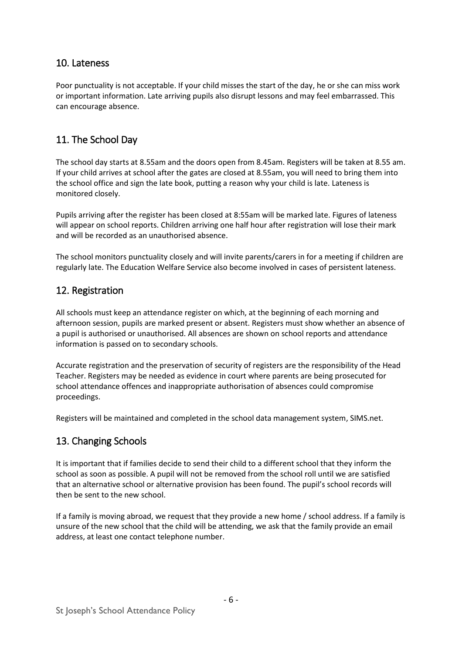## <span id="page-5-0"></span>10. Lateness

Poor punctuality is not acceptable. If your child misses the start of the day, he or she can miss work or important information. Late arriving pupils also disrupt lessons and may feel embarrassed. This can encourage absence.

# <span id="page-5-1"></span>11. The School Day

The school day starts at 8.55am and the doors open from 8.45am. Registers will be taken at 8.55 am. If your child arrives at school after the gates are closed at 8.55am, you will need to bring them into the school office and sign the late book, putting a reason why your child is late. Lateness is monitored closely.

Pupils arriving after the register has been closed at 8:55am will be marked late. Figures of lateness will appear on school reports. Children arriving one half hour after registration will lose their mark and will be recorded as an unauthorised absence.

The school monitors punctuality closely and will invite parents/carers in for a meeting if children are regularly late. The Education Welfare Service also become involved in cases of persistent lateness.

## <span id="page-5-2"></span>12. Registration

All schools must keep an attendance register on which, at the beginning of each morning and afternoon session, pupils are marked present or absent. Registers must show whether an absence of a pupil is authorised or unauthorised. All absences are shown on school reports and attendance information is passed on to secondary schools.

Accurate registration and the preservation of security of registers are the responsibility of the Head Teacher. Registers may be needed as evidence in court where parents are being prosecuted for school attendance offences and inappropriate authorisation of absences could compromise proceedings.

Registers will be maintained and completed in the school data management system, SIMS.net.

## <span id="page-5-3"></span>13. Changing Schools

It is important that if families decide to send their child to a different school that they inform the school as soon as possible. A pupil will not be removed from the school roll until we are satisfied that an alternative school or alternative provision has been found. The pupil's school records will then be sent to the new school.

If a family is moving abroad, we request that they provide a new home / school address. If a family is unsure of the new school that the child will be attending, we ask that the family provide an email address, at least one contact telephone number.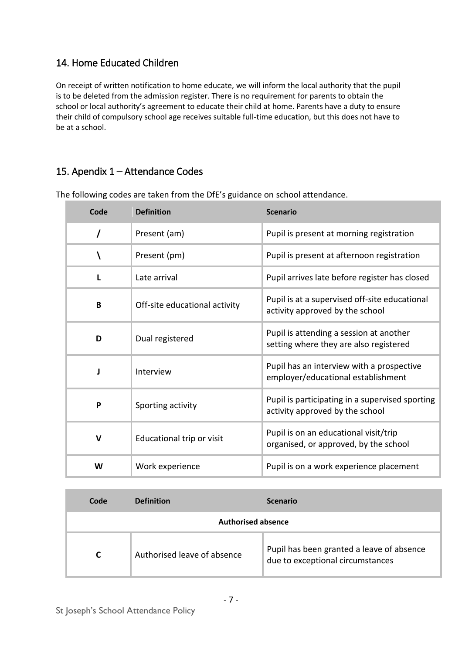# <span id="page-6-0"></span>14. Home Educated Children

On receipt of written notification to home educate, we will inform the local authority that the pupil is to be deleted from the admission register. There is no requirement for parents to obtain the school or local authority's agreement to educate their child at home. Parents have a duty to ensure their child of compulsory school age receives suitable full-time education, but this does not have to be at a school.

# <span id="page-6-1"></span>15. Apendix 1 – Attendance Codes

| Code        | <b>Definition</b>             | <b>Scenario</b>                                                                    |
|-------------|-------------------------------|------------------------------------------------------------------------------------|
| 7           | Present (am)                  | Pupil is present at morning registration                                           |
|             | Present (pm)                  | Pupil is present at afternoon registration                                         |
|             | Late arrival                  | Pupil arrives late before register has closed                                      |
| B           | Off-site educational activity | Pupil is at a supervised off-site educational<br>activity approved by the school   |
| D           | Dual registered               | Pupil is attending a session at another<br>setting where they are also registered  |
|             | Interview                     | Pupil has an interview with a prospective<br>employer/educational establishment    |
| P           | Sporting activity             | Pupil is participating in a supervised sporting<br>activity approved by the school |
| $\mathbf v$ | Educational trip or visit     | Pupil is on an educational visit/trip<br>organised, or approved, by the school     |
| W           | Work experience               | Pupil is on a work experience placement                                            |

The following codes are taken from the DfE's guidance on school attendance.

| Code                      | <b>Definition</b>           | <b>Scenario</b>                                                               |
|---------------------------|-----------------------------|-------------------------------------------------------------------------------|
| <b>Authorised absence</b> |                             |                                                                               |
|                           | Authorised leave of absence | Pupil has been granted a leave of absence<br>due to exceptional circumstances |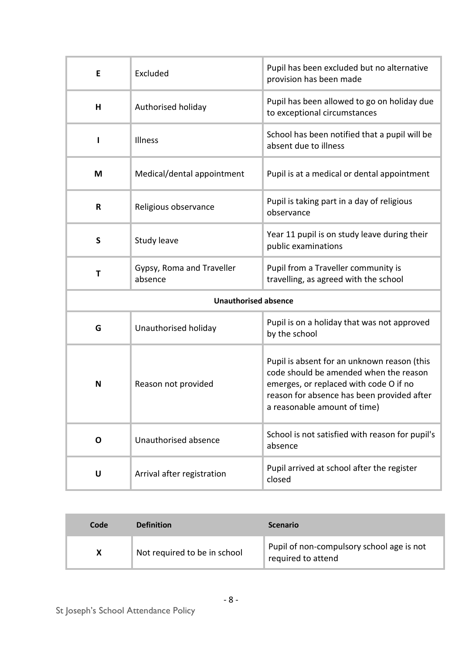| E            | Excluded                             | Pupil has been excluded but no alternative<br>provision has been made                                                                                                                                         |  |
|--------------|--------------------------------------|---------------------------------------------------------------------------------------------------------------------------------------------------------------------------------------------------------------|--|
| Н            | Authorised holiday                   | Pupil has been allowed to go on holiday due<br>to exceptional circumstances                                                                                                                                   |  |
| ı            | Illness                              | School has been notified that a pupil will be<br>absent due to illness                                                                                                                                        |  |
| M            | Medical/dental appointment           | Pupil is at a medical or dental appointment                                                                                                                                                                   |  |
| R            | Religious observance                 | Pupil is taking part in a day of religious<br>observance                                                                                                                                                      |  |
| S            | Study leave                          | Year 11 pupil is on study leave during their<br>public examinations                                                                                                                                           |  |
| T            | Gypsy, Roma and Traveller<br>absence | Pupil from a Traveller community is<br>travelling, as agreed with the school                                                                                                                                  |  |
|              | <b>Unauthorised absence</b>          |                                                                                                                                                                                                               |  |
| G            | Unauthorised holiday                 | Pupil is on a holiday that was not approved<br>by the school                                                                                                                                                  |  |
| N            | Reason not provided                  | Pupil is absent for an unknown reason (this<br>code should be amended when the reason<br>emerges, or replaced with code O if no<br>reason for absence has been provided after<br>a reasonable amount of time) |  |
| $\mathbf{o}$ | Unauthorised absence                 | School is not satisfied with reason for pupil's<br>absence                                                                                                                                                    |  |
| U            | Arrival after registration           | Pupil arrived at school after the register<br>closed                                                                                                                                                          |  |

| Code | <b>Definition</b>            | <b>Scenario</b>                                                 |
|------|------------------------------|-----------------------------------------------------------------|
| X    | Not required to be in school | Pupil of non-compulsory school age is not<br>required to attend |